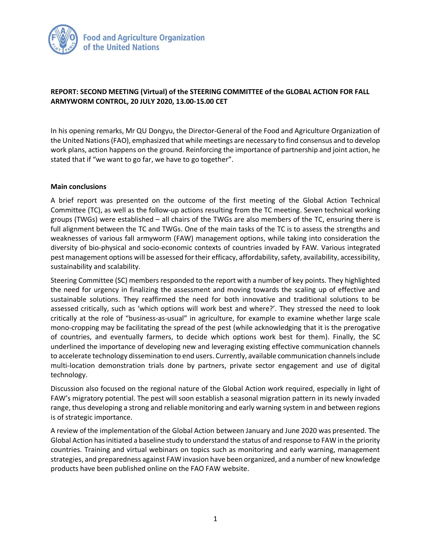

## **REPORT: SECOND MEETING (Virtual) of the STEERING COMMITTEE of the GLOBAL ACTION FOR FALL ARMYWORM CONTROL, 20 JULY 2020, 13.00-15.00 CET**

In his opening remarks, Mr QU Dongyu, the Director-General of the Food and Agriculture Organization of the United Nations (FAO), emphasized that while meetings are necessary to find consensus and to develop work plans, action happens on the ground. Reinforcing the importance of partnership and joint action, he stated that if "we want to go far, we have to go together".

## **Main conclusions**

A brief report was presented on the outcome of the first meeting of the Global Action Technical Committee (TC), as well as the follow-up actions resulting from the TC meeting. Seven technical working groups (TWGs) were established – all chairs of the TWGs are also members of the TC, ensuring there is full alignment between the TC and TWGs. One of the main tasks of the TC is to assess the strengths and weaknesses of various fall armyworm (FAW) management options, while taking into consideration the diversity of bio-physical and socio-economic contexts of countries invaded by FAW. Various integrated pest management options will be assessed for their efficacy, affordability, safety, availability, accessibility, sustainability and scalability.

Steering Committee (SC) members responded to the report with a number of key points. They highlighted the need for urgency in finalizing the assessment and moving towards the scaling up of effective and sustainable solutions. They reaffirmed the need for both innovative and traditional solutions to be assessed critically, such as 'which options will work best and where?'. They stressed the need to look critically at the role of "business-as-usual" in agriculture, for example to examine whether large scale mono-cropping may be facilitating the spread of the pest (while acknowledging that it is the prerogative of countries, and eventually farmers, to decide which options work best for them). Finally, the SC underlined the importance of developing new and leveraging existing effective communication channels to accelerate technology dissemination to end users. Currently, available communication channels include multi-location demonstration trials done by partners, private sector engagement and use of digital technology.

Discussion also focused on the regional nature of the Global Action work required, especially in light of FAW's migratory potential. The pest will soon establish a seasonal migration pattern in its newly invaded range, thus developing a strong and reliable monitoring and early warning system in and between regions is of strategic importance.

A review of the implementation of the Global Action between January and June 2020 was presented. The Global Action has initiated a baseline study to understand the status of and response to FAW in the priority countries. Training and virtual webinars on topics such as monitoring and early warning, management strategies, and preparedness against FAW invasion have been organized, and a number of new knowledge products have been published online on the FAO FAW website.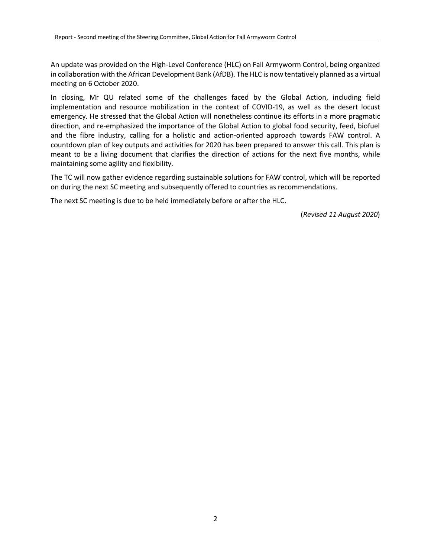An update was provided on the High-Level Conference (HLC) on Fall Armyworm Control, being organized in collaboration with the African Development Bank (AfDB). The HLC is now tentatively planned as a virtual meeting on 6 October 2020.

In closing, Mr QU related some of the challenges faced by the Global Action, including field implementation and resource mobilization in the context of COVID-19, as well as the desert locust emergency. He stressed that the Global Action will nonetheless continue its efforts in a more pragmatic direction, and re-emphasized the importance of the Global Action to global food security, feed, biofuel and the fibre industry, calling for a holistic and action-oriented approach towards FAW control. A countdown plan of key outputs and activities for 2020 has been prepared to answer this call. This plan is meant to be a living document that clarifies the direction of actions for the next five months, while maintaining some agility and flexibility.

The TC will now gather evidence regarding sustainable solutions for FAW control, which will be reported on during the next SC meeting and subsequently offered to countries as recommendations.

The next SC meeting is due to be held immediately before or after the HLC.

(*Revised 11 August 2020*)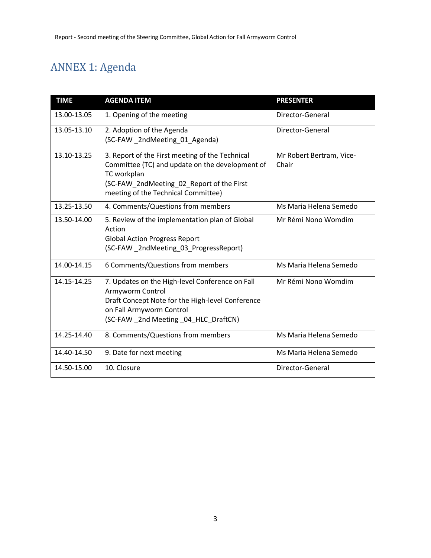## ANNEX 1: Agenda

| <b>TIME</b> | <b>AGENDA ITEM</b>                                                                                                                                                                                    | <b>PRESENTER</b>                  |
|-------------|-------------------------------------------------------------------------------------------------------------------------------------------------------------------------------------------------------|-----------------------------------|
| 13.00-13.05 | 1. Opening of the meeting                                                                                                                                                                             | Director-General                  |
| 13.05-13.10 | 2. Adoption of the Agenda<br>(SC-FAW_2ndMeeting_01_Agenda)                                                                                                                                            | Director-General                  |
| 13.10-13.25 | 3. Report of the First meeting of the Technical<br>Committee (TC) and update on the development of<br>TC workplan<br>(SC-FAW_2ndMeeting_02_Report of the First<br>meeting of the Technical Committee) | Mr Robert Bertram, Vice-<br>Chair |
| 13.25-13.50 | 4. Comments/Questions from members                                                                                                                                                                    | Ms Maria Helena Semedo            |
| 13.50-14.00 | 5. Review of the implementation plan of Global<br>Action<br><b>Global Action Progress Report</b><br>(SC-FAW_2ndMeeting_03_ProgressReport)                                                             | Mr Rémi Nono Womdim               |
| 14.00-14.15 | 6 Comments/Questions from members                                                                                                                                                                     | Ms Maria Helena Semedo            |
| 14.15-14.25 | 7. Updates on the High-level Conference on Fall<br>Armyworm Control<br>Draft Concept Note for the High-level Conference<br>on Fall Armyworm Control<br>(SC-FAW 2nd Meeting 04 HLC DraftCN)            | Mr Rémi Nono Womdim               |
| 14.25-14.40 | 8. Comments/Questions from members                                                                                                                                                                    | Ms Maria Helena Semedo            |
| 14.40-14.50 | 9. Date for next meeting                                                                                                                                                                              | Ms Maria Helena Semedo            |
| 14.50-15.00 | 10. Closure                                                                                                                                                                                           | Director-General                  |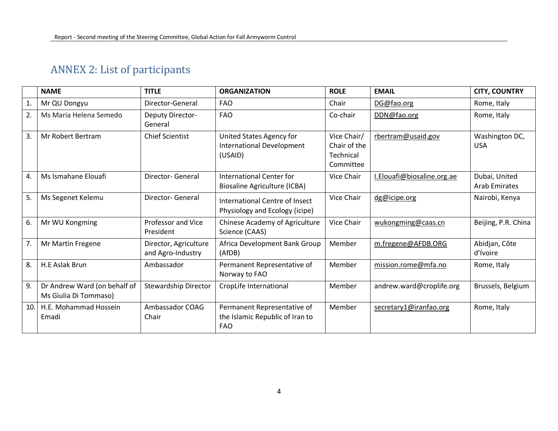## ANNEX 2: List of participants

|     | <b>NAME</b>                                           | <b>TITLE</b>                               | <b>ORGANIZATION</b>                                                          | <b>ROLE</b>                                           | <b>EMAIL</b>               | <b>CITY, COUNTRY</b>                  |
|-----|-------------------------------------------------------|--------------------------------------------|------------------------------------------------------------------------------|-------------------------------------------------------|----------------------------|---------------------------------------|
| 1.  | Mr QU Dongyu                                          | Director-General                           | <b>FAO</b>                                                                   | Chair                                                 | DG@fao.org                 | Rome, Italy                           |
| 2.  | Ms Maria Helena Semedo                                | Deputy Director-<br>General                | <b>FAO</b>                                                                   | Co-chair                                              | DDN@fao.org                | Rome, Italy                           |
| 3.  | Mr Robert Bertram                                     | <b>Chief Scientist</b>                     | United States Agency for<br><b>International Development</b><br>(USAID)      | Vice Chair/<br>Chair of the<br>Technical<br>Committee | rbertram@usaid.gov         | Washington DC,<br><b>USA</b>          |
| 4.  | Ms Ismahane Elouafi                                   | <b>Director-General</b>                    | International Center for<br>Biosaline Agriculture (ICBA)                     | Vice Chair                                            | I.Elouafi@biosaline.org.ae | Dubai, United<br><b>Arab Emirates</b> |
| 5.  | Ms Segenet Kelemu                                     | <b>Director-General</b>                    | <b>International Centre of Insect</b><br>Physiology and Ecology (icipe)      | Vice Chair                                            | dg@icipe.org               | Nairobi, Kenya                        |
| 6.  | Mr WU Kongming                                        | Professor and Vice<br>President            | Chinese Academy of Agriculture<br>Science (CAAS)                             | Vice Chair                                            | wukongming@caas.cn         | Beijing, P.R. China                   |
| 7.  | Mr Martin Fregene                                     | Director, Agriculture<br>and Agro-Industry | Africa Development Bank Group<br>(AfDB)                                      | Member                                                | m.fregene@AFDB.ORG         | Abidjan, Côte<br>d'Ivoire             |
| 8.  | H.E Aslak Brun                                        | Ambassador                                 | Permanent Representative of<br>Norway to FAO                                 | Member                                                | mission.rome@mfa.no        | Rome, Italy                           |
| 9.  | Dr Andrew Ward (on behalf of<br>Ms Giulia Di Tommaso) | Stewardship Director                       | CropLife International                                                       | Member                                                | andrew.ward@croplife.org   | Brussels, Belgium                     |
| 10. | H.E. Mohammad Hossein<br>Emadi                        | Ambassador COAG<br>Chair                   | Permanent Representative of<br>the Islamic Republic of Iran to<br><b>FAO</b> | Member                                                | secretary1@iranfao.org     | Rome, Italy                           |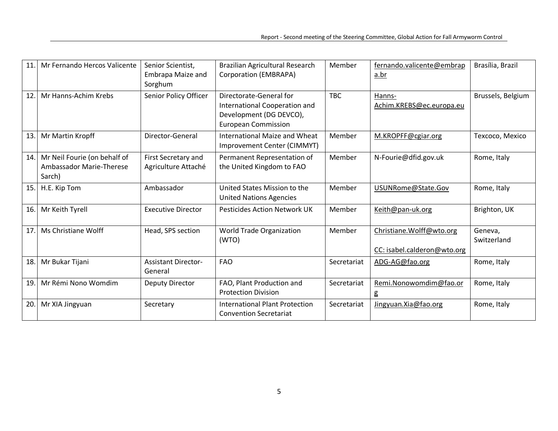| 11  | Mr Fernando Hercos Valicente                                       | Senior Scientist,<br>Embrapa Maize and<br>Sorghum | Brazilian Agricultural Research<br>Corporation (EMBRAPA)                                                          | Member      | fernando.valicente@embrap<br>a.br                        | Brasília, Brazil       |
|-----|--------------------------------------------------------------------|---------------------------------------------------|-------------------------------------------------------------------------------------------------------------------|-------------|----------------------------------------------------------|------------------------|
| 12. | Mr Hanns-Achim Krebs                                               | Senior Policy Officer                             | Directorate-General for<br>International Cooperation and<br>Development (DG DEVCO),<br><b>European Commission</b> | <b>TBC</b>  | Hanns-<br>Achim.KREBS@ec.europa.eu                       | Brussels, Belgium      |
| 13. | Mr Martin Kropff                                                   | Director-General                                  | International Maize and Wheat<br>Improvement Center (CIMMYT)                                                      | Member      | M.KROPFF@cgiar.org                                       | Texcoco, Mexico        |
| 14. | Mr Neil Fourie (on behalf of<br>Ambassador Marie-Therese<br>Sarch) | First Secretary and<br>Agriculture Attaché        | Permanent Representation of<br>the United Kingdom to FAO                                                          | Member      | N-Fourie@dfid.gov.uk                                     | Rome, Italy            |
| 15. | H.E. Kip Tom                                                       | Ambassador                                        | United States Mission to the<br><b>United Nations Agencies</b>                                                    | Member      | USUNRome@State.Gov                                       | Rome, Italy            |
| 16. | Mr Keith Tyrell                                                    | <b>Executive Director</b>                         | <b>Pesticides Action Network UK</b>                                                                               | Member      | Keith@pan-uk.org                                         | Brighton, UK           |
| 17. | Ms Christiane Wolff                                                | Head, SPS section                                 | World Trade Organization<br>(WTO)                                                                                 | Member      | Christiane. Wolff@wto.org<br>CC: isabel.calderon@wto.org | Geneva,<br>Switzerland |
| 18. | Mr Bukar Tijani                                                    | <b>Assistant Director-</b><br>General             | <b>FAO</b>                                                                                                        | Secretariat | ADG-AG@fao.org                                           | Rome, Italy            |
| 19. | Mr Rémi Nono Womdim                                                | Deputy Director                                   | FAO, Plant Production and<br><b>Protection Division</b>                                                           | Secretariat | Remi.Nonowomdim@fao.or<br>g                              | Rome, Italy            |
| 20. | Mr XIA Jingyuan                                                    | Secretary                                         | International Plant Protection<br><b>Convention Secretariat</b>                                                   | Secretariat | Jingyuan. Xia@fao.org                                    | Rome, Italy            |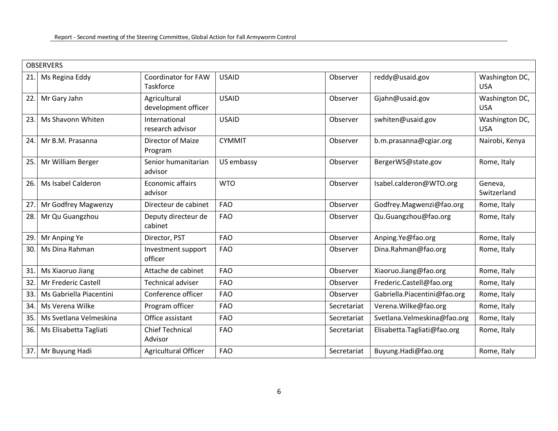| <b>OBSERVERS</b> |                         |                                         |               |             |                              |                              |
|------------------|-------------------------|-----------------------------------------|---------------|-------------|------------------------------|------------------------------|
| 21.              | Ms Regina Eddy          | Coordinator for FAW<br><b>Taskforce</b> | <b>USAID</b>  | Observer    | reddy@usaid.gov              | Washington DC,<br><b>USA</b> |
| 22               | Mr Gary Jahn            | Agricultural<br>development officer     | <b>USAID</b>  | Observer    | Gjahn@usaid.gov              | Washington DC,<br><b>USA</b> |
| 23.              | Ms Shavonn Whiten       | International<br>research advisor       | <b>USAID</b>  | Observer    | swhiten@usaid.gov            | Washington DC,<br><b>USA</b> |
| 24.              | Mr B.M. Prasanna        | Director of Maize<br>Program            | <b>CYMMIT</b> | Observer    | b.m.prasanna@cgiar.org       | Nairobi, Kenya               |
| 25.              | Mr William Berger       | Senior humanitarian<br>advisor          | US embassy    | Observer    | BergerWS@state.gov           | Rome, Italy                  |
| 26.              | Ms Isabel Calderon      | Economic affairs<br>advisor             | <b>WTO</b>    | Observer    | Isabel.calderon@WTO.org      | Geneva,<br>Switzerland       |
| 27               | Mr Godfrey Magwenzy     | Directeur de cabinet                    | <b>FAO</b>    | Observer    | Godfrey.Magwenzi@fao.org     | Rome, Italy                  |
| 28.              | Mr Qu Guangzhou         | Deputy directeur de<br>cabinet          | <b>FAO</b>    | Observer    | Qu.Guangzhou@fao.org         | Rome, Italy                  |
| 29.              | Mr Anping Ye            | Director, PST                           | <b>FAO</b>    | Observer    | Anping.Ye@fao.org            | Rome, Italy                  |
| 30.              | Ms Dina Rahman          | Investment support<br>officer           | <b>FAO</b>    | Observer    | Dina.Rahman@fao.org          | Rome, Italy                  |
| 31.              | Ms Xiaoruo Jiang        | Attache de cabinet                      | <b>FAO</b>    | Observer    | Xiaoruo.Jiang@fao.org        | Rome, Italy                  |
| 32               | Mr Frederic Castell     | <b>Technical adviser</b>                | <b>FAO</b>    | Observer    | Frederic.Castell@fao.org     | Rome, Italy                  |
| 33.              | Ms Gabriella Piacentini | Conference officer                      | <b>FAO</b>    | Observer    | Gabriella.Piacentini@fao.org | Rome, Italy                  |
| 34.              | Ms Verena Wilke         | Program officer                         | <b>FAO</b>    | Secretariat | Verena. Wilke@fao.org        | Rome, Italy                  |
| 35.              | Ms Svetlana Velmeskina  | Office assistant                        | <b>FAO</b>    | Secretariat | Svetlana. Velmeskina@fao.org | Rome, Italy                  |
| 36.              | Ms Elisabetta Tagliati  | <b>Chief Technical</b><br>Advisor       | <b>FAO</b>    | Secretariat | Elisabetta.Tagliati@fao.org  | Rome, Italy                  |
| 37.              | Mr Buyung Hadi          | Agricultural Officer                    | <b>FAO</b>    | Secretariat | Buyung.Hadi@fao.org          | Rome, Italy                  |